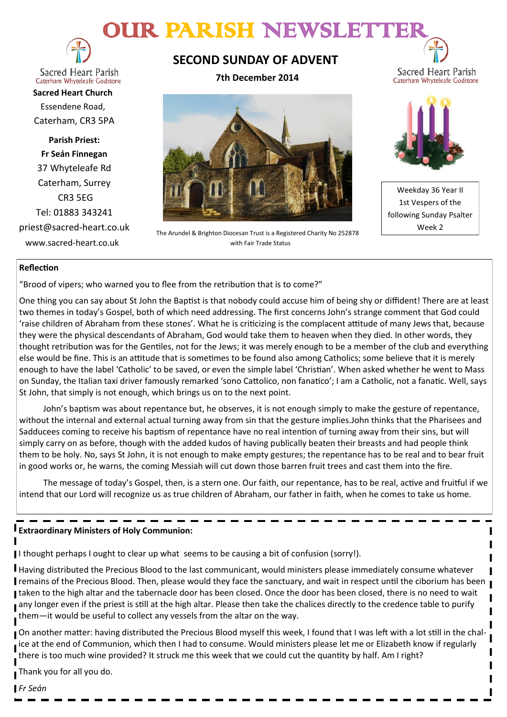# OUR PARISH NEWSLETT



**Sacred Heart Parish** Caterham Whyteleafe Godstone

**Sacred Heart Church** Essendene Road, Caterham, CR3 5PA

**Parish Priest: Fr Seán Finnegan** 37 Whyteleafe Rd Caterham, Surrey CR3 5EG Tel: 01883 343241 priest@sacred-heart.co.uk www.sacred-heart.co.uk

# **SECOND SUNDAY OF ADVENT**

**7th December 2014**



The Arundel & Brighton Diocesan Trust is a Registered Charity No 252878 with Fair Trade Status



Sacred Heart Parish

Weekday 36 Year II 1st Vespers of the following Sunday Psalter Week 2

### **Reflection**

"Brood of vipers; who warned you to flee from the retribution that is to come?"

One thing you can say about St John the Baptist is that nobody could accuse him of being shy or diffident! There are at least two themes in today's Gospel, both of which need addressing. The first concerns John's strange comment that God could 'raise children of Abraham from these stones'. What he is criticizing is the complacent attitude of many Jews that, because they were the physical descendants of Abraham, God would take them to heaven when they died. In other words, they thought retribution was for the Gentiles, not for the Jews; it was merely enough to be a member of the club and everything else would be fine. This is an attitude that is sometimes to be found also among Catholics; some believe that it is merely enough to have the label 'Catholic' to be saved, or even the simple label 'Christian'. When asked whether he went to Mass on Sunday, the Italian taxi driver famously remarked 'sono Cattolico, non fanatico'; I am a Catholic, not a fanatic. Well, says St John, that simply is not enough, which brings us on to the next point.

John's baptism was about repentance but, he observes, it is not enough simply to make the gesture of repentance, without the internal and external actual turning away from sin that the gesture implies.John thinks that the Pharisees and Sadducees coming to receive his baptism of repentance have no real intention of turning away from their sins, but will simply carry on as before, though with the added kudos of having publically beaten their breasts and had people think them to be holy. No, says St John, it is not enough to make empty gestures; the repentance has to be real and to bear fruit in good works or, he warns, the coming Messiah will cut down those barren fruit trees and cast them into the fire.

The message of today's Gospel, then, is a stern one. Our faith, our repentance, has to be real, active and fruitful if we intend that our Lord will recognize us as true children of Abraham, our father in faith, when he comes to take us home.

### **Extraordinary Ministers of Holy Communion:**

I thought perhaps I ought to clear up what seems to be causing a bit of confusion (sorry!).

Having distributed the Precious Blood to the last communicant, would ministers please immediately consume whatever remains of the Precious Blood. Then, please would they face the sanctuary, and wait in respect until the ciborium has been I taken to the high altar and the tabernacle door has been closed. Once the door has been closed, there is no need to wait any longer even if the priest is still at the high altar. Please then take the chalices directly to the credence table to purify them—it would be useful to collect any vessels from the altar on the way.

On another matter: having distributed the Precious Blood myself this week, I found that I was left with a lot still in the chalice at the end of Communion, which then I had to consume. Would ministers please let me or Elizabeth know if regularly there is too much wine provided? It struck me this week that we could cut the quantity by half. Am I right?

Thank you for all you do.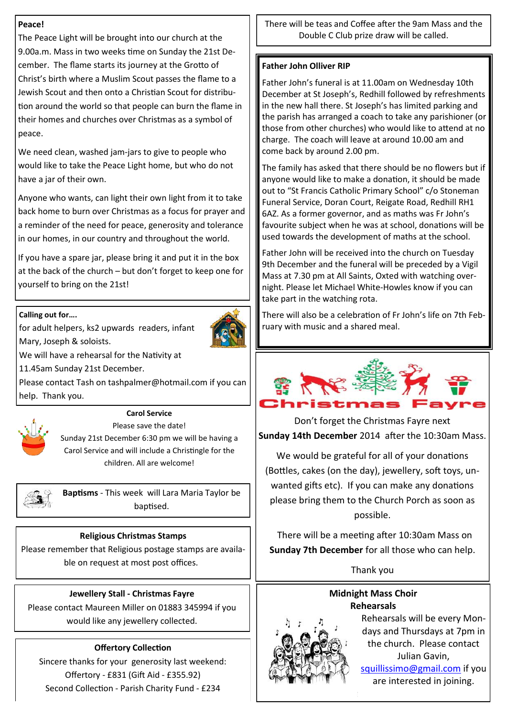## **Peace!**

The Peace Light will be brought into our church at the 9.00a.m. Mass in two weeks time on Sunday the 21st December. The flame starts its journey at the Grotto of Christ's birth where a Muslim Scout passes the flame to a Jewish Scout and then onto a Christian Scout for distribution around the world so that people can burn the flame in their homes and churches over Christmas as a symbol of peace.

We need clean, washed jam-jars to give to people who would like to take the Peace Light home, but who do not have a jar of their own.

Anyone who wants, can light their own light from it to take back home to burn over Christmas as a focus for prayer and a reminder of the need for peace, generosity and tolerance in our homes, in our country and throughout the world.

If you have a spare jar, please bring it and put it in the box at the back of the church – but don't forget to keep one for yourself to bring on the 21st!

## **Calling out for….**



for adult helpers, ks2 upwards readers, infant

Mary, Joseph & soloists.



We will have a rehearsal for the Nativity at

11.45am Sunday 21st December.

Please contact Tash on tashpalmer@hotmail.com if you can help. Thank you.



### **Carol Service**

Please save the date! Sunday 21st December 6:30 pm we will be having a Carol Service and will include a Christingle for the children. All are welcome!



**Baptisms** - This week will Lara Maria Taylor be baptised.

# **Religious Christmas Stamps**

Please remember that Religious postage stamps are available on request at most post offices.

# **Jewellery Stall - Christmas Fayre**

Please contact Maureen Miller on 01883 345994 if you would like any jewellery collected.

# **Offertory Collection**

Sincere thanks for your generosity last weekend: Offertory - £831 (Gift Aid - £355.92) Second Collection - Parish Charity Fund - £234

There will be teas and Coffee after the 9am Mass and the Double C Club prize draw will be called.

## **Father John Olliver RIP**

Father John's funeral is at 11.00am on Wednesday 10th December at St Joseph's, Redhill followed by refreshments in the new hall there. St Joseph's has limited parking and the parish has arranged a coach to take any parishioner (or those from other churches) who would like to attend at no charge. The coach will leave at around 10.00 am and come back by around 2.00 pm.

The family has asked that there should be no flowers but if anyone would like to make a donation, it should be made out to "St Francis Catholic Primary School" c/o Stoneman Funeral Service, Doran Court, Reigate Road, Redhill RH1 6AZ. As a former governor, and as maths was Fr John's favourite subject when he was at school, donations will be used towards the development of maths at the school.

Father John will be received into the church on Tuesday 9th December and the funeral will be preceded by a Vigil Mass at 7.30 pm at All Saints, Oxted with watching overnight. Please let Michael White-Howles know if you can take part in the watching rota.

There will also be a celebration of Fr John's life on 7th February with music and a shared meal.



Don't forget the Christmas Fayre next **Sunday 14th December** 2014 after the 10:30am Mass.

We would be grateful for all of your donations (Bottles, cakes (on the day), jewellery, soft toys, unwanted gifts etc). If you can make any donations please bring them to the Church Porch as soon as possible.

 There will be a meeting after 10:30am Mass on **Sunday 7th December** for all those who can help.

Thank you

# **Midnight Mass Choir Rehearsals**



Rehearsals will be every Mondays and Thursdays at 7pm in the church. Please contact Julian Gavin, [squillissimo@gmail.com](mailto:squillissimo@gmail.com) if you are interested in joining.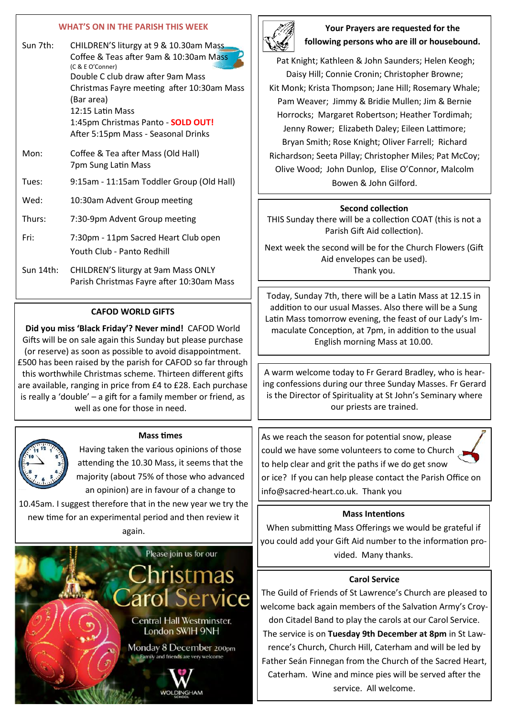#### **WHAT'S ON IN THE PARISH THIS WEEK**

| Sun 7th:  | CHILDREN'S liturgy at 9 & 10.30am Mass<br>Coffee & Teas after 9am & 10:30am Mass<br>(C & E O'Conner)<br>Double C club draw after 9am Mass<br>Christmas Fayre meeting after 10:30am Mass<br>(Bar area)<br>12:15 Latin Mass<br>1:45pm Christmas Panto - <b>SOLD OUT!</b><br>After 5:15pm Mass - Seasonal Drinks |
|-----------|---------------------------------------------------------------------------------------------------------------------------------------------------------------------------------------------------------------------------------------------------------------------------------------------------------------|
| Mon:      | Coffee & Tea after Mass (Old Hall)<br>7pm Sung Latin Mass                                                                                                                                                                                                                                                     |
| Tues:     | 9:15am - 11:15am Toddler Group (Old Hall)                                                                                                                                                                                                                                                                     |
| Wed:      | 10:30am Advent Group meeting                                                                                                                                                                                                                                                                                  |
| Thurs:    | 7:30-9pm Advent Group meeting                                                                                                                                                                                                                                                                                 |
| Fri:      | 7:30pm - 11pm Sacred Heart Club open<br>Youth Club - Panto Redhill                                                                                                                                                                                                                                            |
| Sun 14th: | CHILDREN'S liturgy at 9am Mass ONLY<br>Parish Christmas Fayre after 10:30am Mass                                                                                                                                                                                                                              |

#### **CAFOD WORLD GIFTS**

**Did you miss 'Black Friday'? Never mind!** CAFOD World Gifts will be on sale again this Sunday but please purchase (or reserve) as soon as possible to avoid disappointment. £500 has been raised by the parish for CAFOD so far through this worthwhile Christmas scheme. Thirteen different gifts are available, ranging in price from £4 to £28. Each purchase is really a 'double' – a gift for a family member or friend, as well as one for those in need.

#### **Mass times**



Having taken the various opinions of those attending the 10.30 Mass, it seems that the majority (about 75% of those who advanced an opinion) are in favour of a change to

10.45am. I suggest therefore that in the new year we try the new time for an experimental period and then review it again.





## **Your Prayers are requested for the following persons who are ill or housebound.**

Pat Knight; Kathleen & John Saunders; Helen Keogh; Daisy Hill; Connie Cronin; Christopher Browne; Kit Monk; Krista Thompson; Jane Hill; Rosemary Whale; Pam Weaver; Jimmy & Bridie Mullen; Jim & Bernie Horrocks; Margaret Robertson; Heather Tordimah; Jenny Rower; Elizabeth Daley; Eileen Lattimore; Bryan Smith; Rose Knight; Oliver Farrell; Richard Richardson; Seeta Pillay; Christopher Miles; Pat McCoy; Olive Wood; John Dunlop, Elise O'Connor, Malcolm Bowen & John Gilford.

#### **Second collection**

THIS Sunday there will be a collection COAT (this is not a Parish Gift Aid collection).

Next week the second will be for the Church Flowers (Gift Aid envelopes can be used). Thank you.

Today, Sunday 7th, there will be a Latin Mass at 12.15 in addition to our usual Masses. Also there will be a Sung Latin Mass tomorrow evening, the feast of our Lady's Immaculate Conception, at 7pm, in addition to the usual English morning Mass at 10.00.

A warm welcome today to Fr Gerard Bradley, who is hearing confessions during our three Sunday Masses. Fr Gerard is the Director of Spirituality at St John's Seminary where our priests are trained.

As we reach the season for potential snow, please could we have some volunteers to come to Church to help clear and grit the paths if we do get snow or ice? If you can help please contact the Parish Office on info@sacred-heart.co.uk. Thank you

#### **Mass Intentions**

When submitting Mass Offerings we would be grateful if you could add your Gift Aid number to the information provided. Many thanks.

#### **Carol Service**

The Guild of Friends of St Lawrence's Church are pleased to welcome back again members of the Salvation Army's Croydon Citadel Band to play the carols at our Carol Service. The service is on **Tuesday 9th December at 8pm** in St Lawrence's Church, Church Hill, Caterham and will be led by Father Seán Finnegan from the Church of the Sacred Heart, Caterham. Wine and mince pies will be served after the service. All welcome.